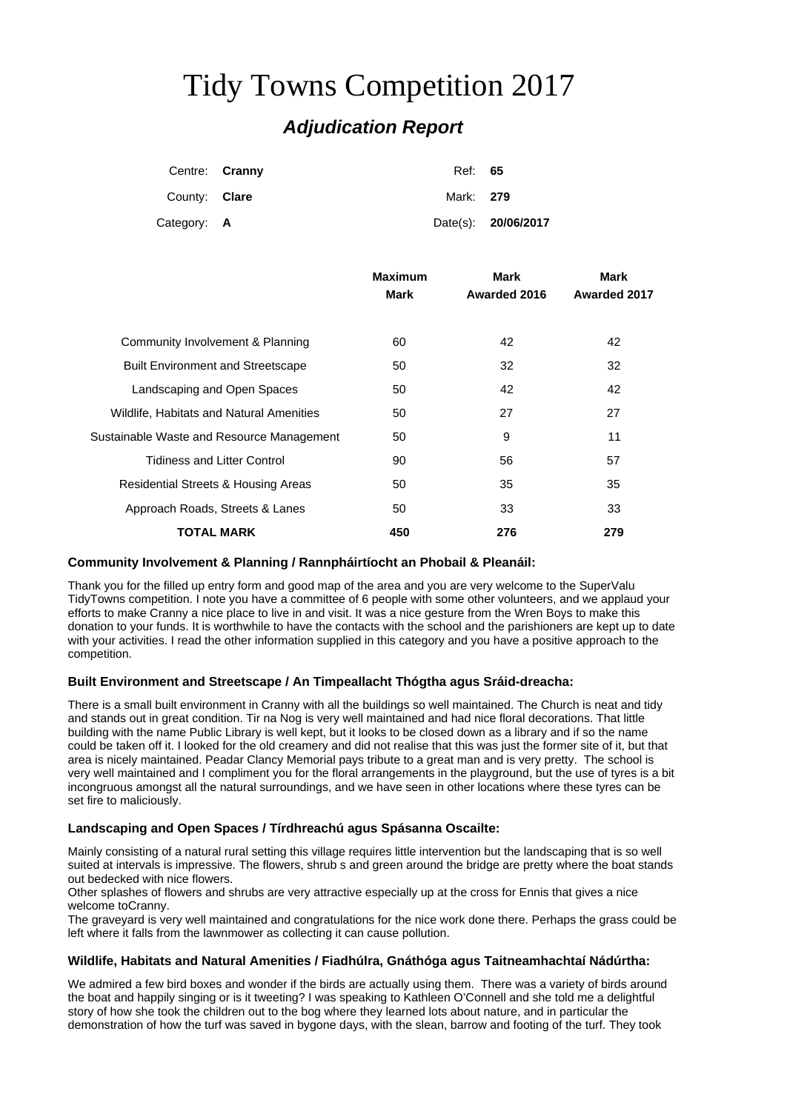# Tidy Towns Competition 2017

## *Adjudication Report*

|               | Centre: Cranny | Ref: 65   |                     |
|---------------|----------------|-----------|---------------------|
| County: Clare |                | Mark: 279 |                     |
| Category: A   |                |           | Date(s): 20/06/2017 |

|                                                 | <b>Maximum</b><br>Mark | Mark<br>Awarded 2016 | Mark<br>Awarded 2017 |
|-------------------------------------------------|------------------------|----------------------|----------------------|
|                                                 |                        |                      |                      |
| Community Involvement & Planning                | 60                     | 42                   | 42                   |
| <b>Built Environment and Streetscape</b>        | 50                     | 32                   | 32                   |
| Landscaping and Open Spaces                     | 50                     | 42                   | 42                   |
| <b>Wildlife, Habitats and Natural Amenities</b> | 50                     | 27                   | 27                   |
| Sustainable Waste and Resource Management       | 50                     | 9                    | 11                   |
| <b>Tidiness and Litter Control</b>              | 90                     | 56                   | 57                   |
| Residential Streets & Housing Areas             | 50                     | 35                   | 35                   |
| Approach Roads, Streets & Lanes                 | 50                     | 33                   | 33                   |
| <b>TOTAL MARK</b>                               | 450                    | 276                  | 279                  |

#### **Community Involvement & Planning / Rannpháirtíocht an Phobail & Pleanáil:**

Thank you for the filled up entry form and good map of the area and you are very welcome to the SuperValu TidyTowns competition. I note you have a committee of 6 people with some other volunteers, and we applaud your efforts to make Cranny a nice place to live in and visit. It was a nice gesture from the Wren Boys to make this donation to your funds. It is worthwhile to have the contacts with the school and the parishioners are kept up to date with your activities. I read the other information supplied in this category and you have a positive approach to the competition.

#### **Built Environment and Streetscape / An Timpeallacht Thógtha agus Sráid-dreacha:**

There is a small built environment in Cranny with all the buildings so well maintained. The Church is neat and tidy and stands out in great condition. Tir na Nog is very well maintained and had nice floral decorations. That little building with the name Public Library is well kept, but it looks to be closed down as a library and if so the name could be taken off it. I looked for the old creamery and did not realise that this was just the former site of it, but that area is nicely maintained. Peadar Clancy Memorial pays tribute to a great man and is very pretty. The school is very well maintained and I compliment you for the floral arrangements in the playground, but the use of tyres is a bit incongruous amongst all the natural surroundings, and we have seen in other locations where these tyres can be set fire to maliciously.

### **Landscaping and Open Spaces / Tírdhreachú agus Spásanna Oscailte:**

Mainly consisting of a natural rural setting this village requires little intervention but the landscaping that is so well suited at intervals is impressive. The flowers, shrub s and green around the bridge are pretty where the boat stands out bedecked with nice flowers.

Other splashes of flowers and shrubs are very attractive especially up at the cross for Ennis that gives a nice welcome toCranny.

The graveyard is very well maintained and congratulations for the nice work done there. Perhaps the grass could be left where it falls from the lawnmower as collecting it can cause pollution.

#### **Wildlife, Habitats and Natural Amenities / Fiadhúlra, Gnáthóga agus Taitneamhachtaí Nádúrtha:**

We admired a few bird boxes and wonder if the birds are actually using them. There was a variety of birds around the boat and happily singing or is it tweeting? I was speaking to Kathleen O'Connell and she told me a delightful story of how she took the children out to the bog where they learned lots about nature, and in particular the demonstration of how the turf was saved in bygone days, with the slean, barrow and footing of the turf. They took